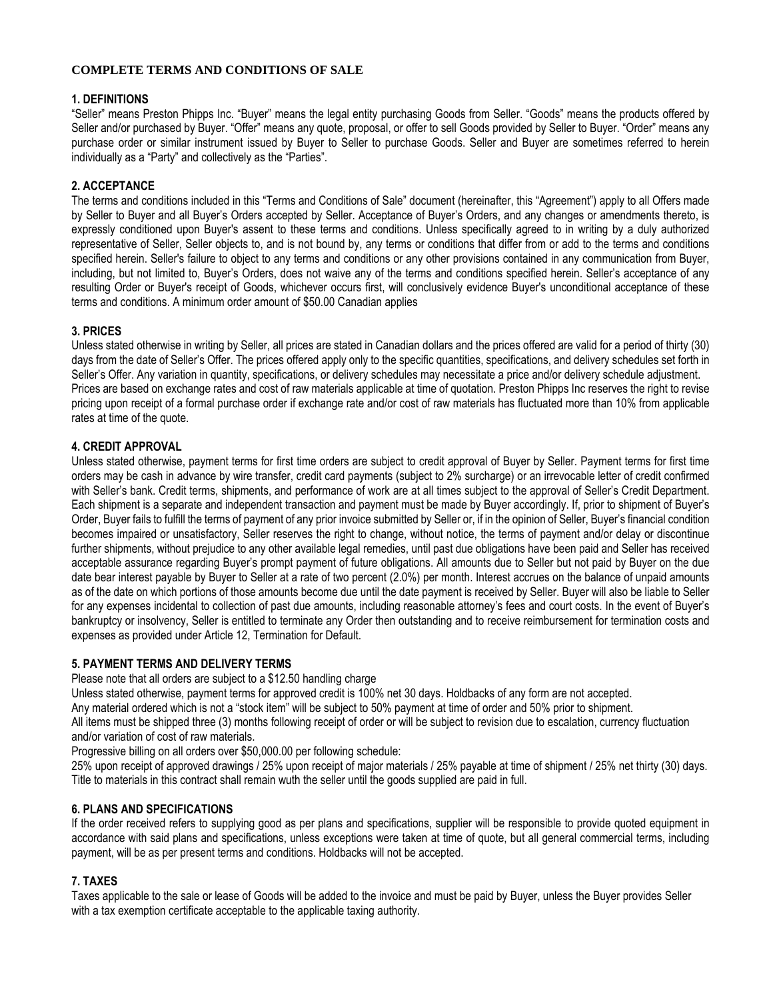### **COMPLETE TERMS AND CONDITIONS OF SALE**

### **1. DEFINITIONS**

"Seller" means Preston Phipps Inc. "Buyer" means the legal entity purchasing Goods from Seller. "Goods" means the products offered by Seller and/or purchased by Buyer. "Offer" means any quote, proposal, or offer to sell Goods provided by Seller to Buyer. "Order" means any purchase order or similar instrument issued by Buyer to Seller to purchase Goods. Seller and Buyer are sometimes referred to herein individually as a "Party" and collectively as the "Parties".

# 2. ACCEPTANCE

The terms and conditions included in this "Terms and Conditions of Sale" document (hereinafter, this "Agreement") apply to all Offers made by Seller to Buyer and all Buyer's Orders accepted by Seller. Acceptance of Buyer's Orders, and any changes or amendments thereto, is expressly conditioned upon Buyer's assent to these terms and conditions. Unless specifically agreed to in writing by a duly authorized representative of Seller, Seller objects to, and is not bound by, any terms or conditions that differ from or add to the terms and conditions specified herein. Seller's failure to object to any terms and conditions or any other provisions contained in any communication from Buyer, including, but not limited to, Buver's Orders, does not waive any of the terms and conditions specified herein. Seller's acceptance of any resulting Order or Buyer's receipt of Goods, whichever occurs first, will conclusively evidence Buyer's unconditional acceptance of these terms and conditions. A minimum order amount of \$50.00 Canadian applies

### 3. PRICES

Unless stated otherwise in writing by Seller, all prices are stated in Canadian dollars and the prices offered are valid for a period of thirty (30) days from the date of Seller's Offer. The prices offered apply only to the specific quantities, specifications, and delivery schedules set forth in Seller's Offer. Any variation in quantity, specifications, or delivery schedules may necessitate a price and/or delivery schedule adjustment. Prices are based on exchange rates and cost of raw materials applicable at time of quotation. Preston Phipps Inc reserves the right to revise pricing upon receipt of a formal purchase order if exchange rate and/or cost of raw materials has fluctuated more than 10% from applicable rates at time of the quote.

# **4. CREDIT APPROVAL**

Unless stated otherwise, payment terms for first time orders are subject to credit approval of Buyer by Seller. Payment terms for first time orders may be cash in advance by wire transfer, credit card payments (subject to 2% surcharge) or an irrevocable letter of credit confirmed with Seller's bank. Credit terms, shipments, and performance of work are at all times subject to the approval of Seller's Credit Department. Each shipment is a separate and independent transaction and payment must be made by Buyer accordingly. If, prior to shipment of Buyer's Order, Buyer fails to fulfill the terms of payment of any prior invoice submitted by Seller or, if in the opinion of Seller, Buyer's financial condition becomes impaired or unsatisfactory. Seller reserves the right to change, without notice, the terms of payment and/or delay or discontinue further shipments, without prejudice to any other available legal remedies, until past due obligations have been paid and Seller has received acceptable assurance regarding Buyer's prompt payment of future obligations. All amounts due to Seller but not paid by Buyer on the due date bear interest payable by Buyer to Seller at a rate of two percent (2.0%) per month. Interest accrues on the balance of unpaid amounts as of the date on which portions of those amounts become due until the date payment is received by Seller. Buyer will also be liable to Seller for any expenses incidental to collection of past due amounts, including reasonable attorney's fees and court costs. In the event of Buyer's bankruptcy or insolvency. Seller is entitled to terminate any Order then outstanding and to receive reimbursement for termination costs and expenses as provided under Article 12, Termination for Default.

### **5. PAYMENT TERMS AND DELIVERY TERMS**

Please note that all orders are subject to a \$12.50 handling charge

Unless stated otherwise, payment terms for approved credit is 100% net 30 days. Holdbacks of any form are not accepted.

Any material ordered which is not a "stock item" will be subject to 50% payment at time of order and 50% prior to shipment.

All items must be shipped three (3) months following receipt of order or will be subject to revision due to escalation, currency fluctuation and/or variation of cost of raw materials.

Progressive billing on all orders over \$50,000.00 per following schedule:

25% upon receipt of approved drawings / 25% upon receipt of major materials / 25% payable at time of shipment / 25% net thirty (30) days. Title to materials in this contract shall remain wuth the seller until the goods supplied are paid in full.

# **6. PLANS AND SPECIFICATIONS**

If the order received refers to supplying good as per plans and specifications, supplier will be responsible to provide quoted equipment in accordance with said plans and specifications, unless exceptions were taken at time of quote, but all general commercial terms, including payment, will be as per present terms and conditions. Holdbacks will not be accepted.

### 7. TAXES

Taxes applicable to the sale or lease of Goods will be added to the invoice and must be paid by Buyer, unless the Buyer provides Seller with a tax exemption certificate acceptable to the applicable taxing authority.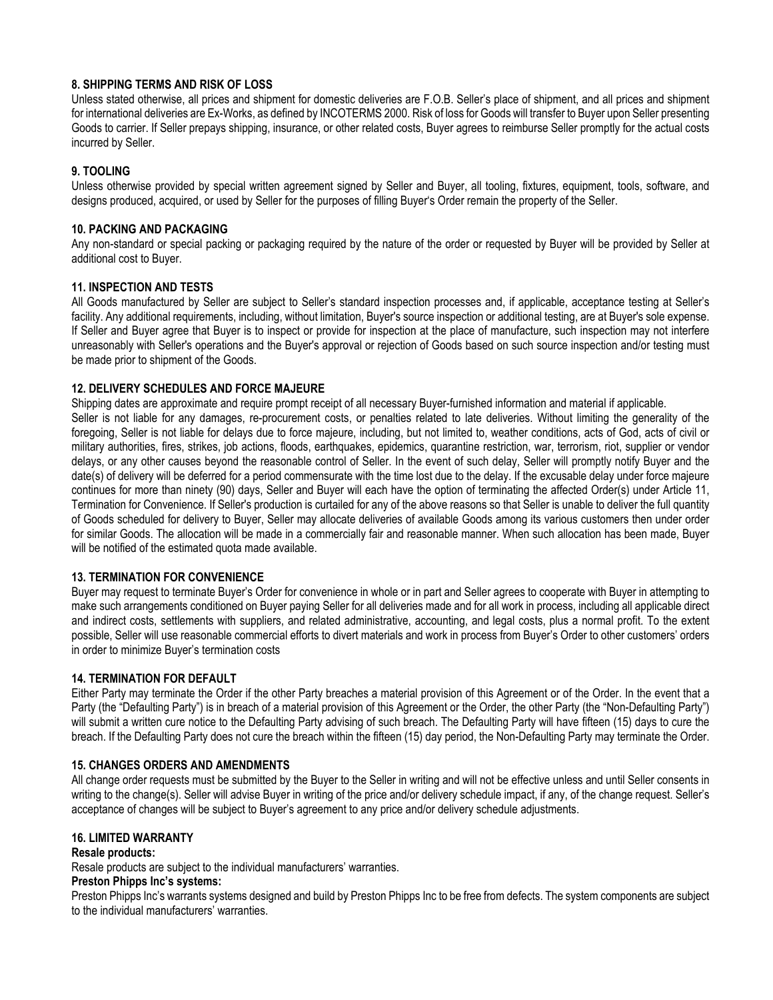# 8. SHIPPING TERMS AND RISK OF LOSS

Unless stated otherwise, all prices and shipment for domestic deliveries are F.O.B. Seller's place of shipment, and all prices and shipment for international deliveries are Ex-Works, as defined by INCOTERMS 2000. Risk of loss for Goods will transfer to Buyer upon Seller presenting Goods to carrier. If Seller prepays shipping, insurance, or other related costs, Buyer agrees to reimburse Seller promptly for the actual costs incurred by Seller.

# 9. TOOLING

Unless otherwise provided by special written agreement signed by Seller and Buyer, all tooling, fixtures, equipment, tools, software, and designs produced, acquired, or used by Seller for the purposes of filling Buyer's Order remain the property of the Seller.

### **10. PACKING AND PACKAGING**

Any non-standard or special packing or packaging required by the nature of the order or requested by Buyer will be provided by Seller at additional cost to Buyer.

# **11. INSPECTION AND TESTS**

All Goods manufactured by Seller are subject to Seller's standard inspection processes and, if applicable, acceptance testing at Seller's facility. Any additional requirements, including, without limitation. Buver's source inspection or additional testing, are at Buver's sole expense. If Seller and Buyer agree that Buyer is to inspect or provide for inspection at the place of manufacture, such inspection may not interfere unreasonably with Seller's operations and the Buyer's approval or rejection of Goods based on such source inspection and/or testing must be made prior to shipment of the Goods.

# 12. DELIVERY SCHEDULES AND FORCE MAJEURE

Shipping dates are approximate and require prompt receipt of all necessary Buyer-furnished information and material if applicable. Seller is not liable for any damages, re-procurement costs, or penalties related to late deliveries. Without limiting the generality of the foregoing, Seller is not liable for delays due to force majeure, including, but not limited to, weather conditions, acts of God, acts of civil or military authorities, fires, strikes, job actions, floods, earthquakes, epidemics, quarantine restriction, war, terrorism, riot, supplier or vendor delays, or any other causes beyond the reasonable control of Seller. In the event of such delay, Seller will promptly notify Buyer and the date(s) of delivery will be deferred for a period commensurate with the time lost due to the delay. If the excusable delay under force majeure continues for more than ninety (90) days, Seller and Buyer will each have the option of terminating the affected Order(s) under Article 11, Termination for Convenience. If Seller's production is curtailed for any of the above reasons so that Seller is unable to deliver the full quantity of Goods scheduled for delivery to Buyer, Seller may allocate deliveries of available Goods among its various customers then under order for similar Goods. The allocation will be made in a commercially fair and reasonable manner. When such allocation has been made, Buyer will be notified of the estimated quota made available.

### **13. TERMINATION FOR CONVENIENCE**

Buyer may request to terminate Buyer's Order for convenience in whole or in part and Seller agrees to cooperate with Buyer in attempting to make such arrangements conditioned on Buver paving Seller for all deliveries made and for all work in process, including all applicable direct and indirect costs, settlements with suppliers, and related administrative, accounting, and legal costs, plus a normal profit. To the extent possible. Seller will use reasonable commercial efforts to divert materials and work in process from Buyer's Order to other customers' orders in order to minimize Buyer's termination costs

### **14. TERMINATION FOR DEFAULT**

Either Party may terminate the Order if the other Party breaches a material provision of this Agreement or of the Order. In the event that a Party (the "Defaulting Party") is in breach of a material provision of this Agreement or the Order, the other Party (the "Non-Defaulting Party") will submit a written cure notice to the Defaulting Party advising of such breach. The Defaulting Party will have fifteen (15) days to cure the breach. If the Defaulting Party does not cure the breach within the fifteen (15) day period, the Non-Defaulting Party may terminate the Order.

### **15. CHANGES ORDERS AND AMENDMENTS**

All change order requests must be submitted by the Buver to the Seller in writing and will not be effective unless and until Seller consents in writing to the change(s). Seller will advise Buyer in writing of the price and/or delivery schedule impact, if any, of the change request. Seller's acceptance of changes will be subject to Buyer's agreement to any price and/or delivery schedule adjustments.

### **16. LIMITED WARRANTY**

### Resale products:

Resale products are subject to the individual manufacturers' warranties.

### Preston Phipps Inc's systems:

Preston Phipps Inc's warrants systems designed and build by Preston Phipps Inc to be free from defects. The system components are subject to the individual manufacturers' warranties.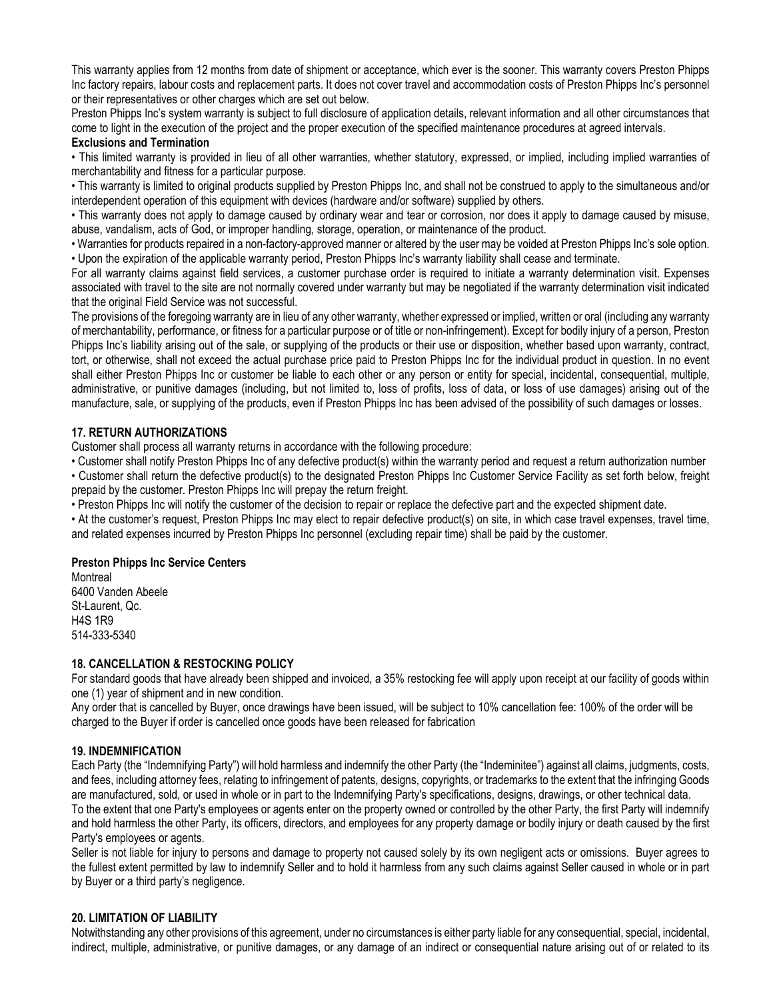This warranty applies from 12 months from date of shipment or acceptance, which ever is the sooner. This warranty covers Preston Phipps Inc factory repairs, labour costs and replacement parts. It does not cover travel and accommodation costs of Preston Phipps Inc's personnel or their representatives or other charges which are set out below.

Preston Phipps Inc's system warranty is subject to full disclosure of application details, relevant information and all other circumstances that come to light in the execution of the project and the proper execution of the specified maintenance procedures at agreed intervals.

#### **Exclusions and Termination**

• This limited warranty is provided in lieu of all other warranties, whether statutory, expressed, or implied, including implied warranties of merchantability and fitness for a particular purpose.

• This warranty is limited to original products supplied by Preston Phipps Inc, and shall not be construed to apply to the simultaneous and/or interdependent operation of this equipment with devices (hardware and/or software) supplied by others.

. This warranty does not apply to damage caused by ordinary wear and tear or corrosion, nor does it apply to damage caused by misuse, abuse, vandalism, acts of God, or improper handling, storage, operation, or maintenance of the product.

. Warranties for products repaired in a non-factory-approved manner or altered by the user may be voided at Preston Phipps Inc's sole option. . Upon the expiration of the applicable warranty period, Preston Phipps Inc's warranty liability shall cease and terminate.

For all warranty claims against field services, a customer purchase order is required to initiate a warranty determination visit. Expenses associated with travel to the site are not normally covered under warranty but may be negotiated if the warranty determination visit indicated that the original Field Service was not successful.

The provisions of the foregoing warranty are in lieu of any other warranty, whether expressed or implied, written or oral (including any warranty of merchantability, performance, or fitness for a particular purpose or of title or non-infringement). Except for bodily injury of a person, Preston Phipps Inc's liability arising out of the sale, or supplying of the products or their use or disposition, whether based upon warranty, contract, tort, or otherwise, shall not exceed the actual purchase price paid to Preston Phipps Inc for the individual product in question. In no event shall either Preston Phipps Inc or customer be liable to each other or any person or entity for special, incidental, consequential, multiple, administrative, or punitive damages (including, but not limited to, loss of profits, loss of data, or loss of use damages) arising out of the manufacture, sale, or supplying of the products, even if Preston Phipps Inc has been advised of the possibility of such damages or losses.

### **17. RETURN AUTHORIZATIONS**

Customer shall process all warranty returns in accordance with the following procedure:

• Customer shall notify Preston Phipps Inc of any defective product(s) within the warranty period and request a return authorization number

• Customer shall return the defective product(s) to the designated Preston Phipps Inc Customer Service Facility as set forth below, freight prepaid by the customer. Preston Phipps Inc will prepay the return freight.

. Preston Phipps Inc will notify the customer of the decision to repair or replace the defective part and the expected shipment date.

• At the customer's request, Preston Phipps Inc may elect to repair defective product(s) on site, in which case travel expenses, travel time, and related expenses incurred by Preston Phipps Inc personnel (excluding repair time) shall be paid by the customer.

### **Preston Phipps Inc Service Centers**

Montreal 6400 Vanden Abeele St-Laurent, Qc. **H4S 1R9** 514-333-5340

### **18. CANCELLATION & RESTOCKING POLICY**

For standard goods that have already been shipped and invoiced, a 35% restocking fee will apply upon receipt at our facility of goods within one (1) year of shipment and in new condition.

Any order that is cancelled by Buyer, once drawings have been issued, will be subject to 10% cancellation fee: 100% of the order will be charged to the Buyer if order is cancelled once goods have been released for fabrication

### **19. INDEMNIFICATION**

Each Party (the "Indemnifying Party") will hold harmless and indemnify the other Party (the "Indeminitee") against all claims, judgments, costs, and fees, including attorney fees, relating to infringement of patents, designs, copyrights, or trademarks to the extent that the infringing Goods are manufactured, sold, or used in whole or in part to the Indemnifying Party's specifications, designs, drawings, or other technical data. To the extent that one Party's employees or agents enter on the property owned or controlled by the other Party, the first Party will indemnify and hold harmless the other Party, its officers, directors, and employees for any property damage or bodily injury or death caused by the first Party's employees or agents.

Seller is not liable for injury to persons and damage to property not caused solely by its own negligent acts or omissions. Buyer agrees to the fullest extent permitted by law to indemnify Seller and to hold it harmless from any such claims against Seller caused in whole or in part by Buyer or a third party's negligence.

### **20. LIMITATION OF LIABILITY**

Notwithstanding any other provisions of this agreement, under no circumstances is either party liable for any consequential, special, incidental, indirect, multiple, administrative, or punitive damages, or any damage of an indirect or consequential nature arising out of or related to its